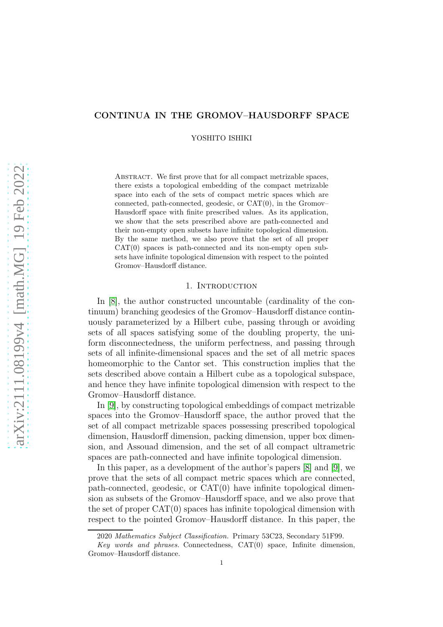# CONTINUA IN THE GROMOV–HAUSDORFF SPACE

YOSHITO ISHIKI

ABSTRACT. We first prove that for all compact metrizable spaces, there exists a topological embedding of the compact metrizable space into each of the sets of compact metric spaces which are connected, path-connected, geodesic, or CAT(0), in the Gromov– Hausdorff space with finite prescribed values. As its application, we show that the sets prescribed above are path-connected and their non-empty open subsets have infinite topological dimension. By the same method, we also prove that the set of all proper  $CAT(0)$  spaces is path-connected and its non-empty open subsets have infinite topological dimension with respect to the pointed Gromov–Hausdorff distance.

#### 1. INTRODUCTION

In [\[8\]](#page-11-0), the author constructed uncountable (cardinality of the continuum) branching geodesics of the Gromov–Hausdorff distance continuously parameterized by a Hilbert cube, passing through or avoiding sets of all spaces satisfying some of the doubling property, the uniform disconnectedness, the uniform perfectness, and passing through sets of all infinite-dimensional spaces and the set of all metric spaces homeomorphic to the Cantor set. This construction implies that the sets described above contain a Hilbert cube as a topological subspace, and hence they have infinite topological dimension with respect to the Gromov–Hausdorff distance.

In [\[9\]](#page-11-1), by constructing topological embeddings of compact metrizable spaces into the Gromov–Hausdorff space, the author proved that the set of all compact metrizable spaces possessing prescribed topological dimension, Hausdorff dimension, packing dimension, upper box dimension, and Assouad dimension, and the set of all compact ultrametric spaces are path-connected and have infinite topological dimension.

In this paper, as a development of the author's papers [\[8\]](#page-11-0) and [\[9\]](#page-11-1), we prove that the sets of all compact metric spaces which are connected, path-connected, geodesic, or CAT(0) have infinite topological dimension as subsets of the Gromov–Hausdorff space, and we also prove that the set of proper CAT(0) spaces has infinite topological dimension with respect to the pointed Gromov–Hausdorff distance. In this paper, the

<sup>2020</sup> Mathematics Subject Classification. Primary 53C23, Secondary 51F99.

Key words and phrases. Connectedness,  $CAT(0)$  space, Infinite dimension, Gromov–Hausdorff distance.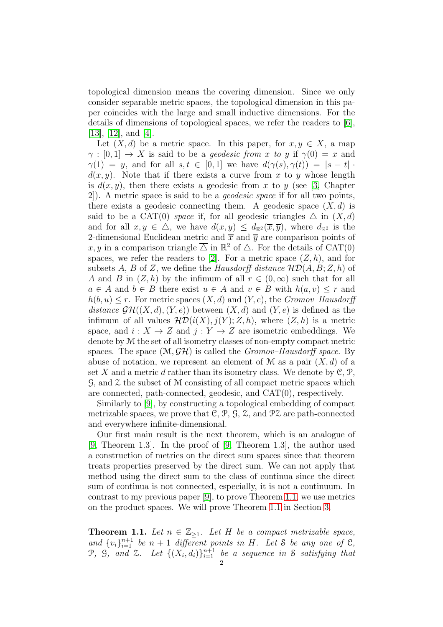topological dimension means the covering dimension. Since we only consider separable metric spaces, the topological dimension in this paper coincides with the large and small inductive dimensions. For the details of dimensions of topological spaces, we refer the readers to [\[6\]](#page-11-2), [\[13\]](#page-11-3), [\[12\]](#page-11-4), and [\[4\]](#page-11-5).

Let  $(X, d)$  be a metric space. In this paper, for  $x, y \in X$ , a map  $\gamma : [0,1] \to X$  is said to be a *geodesic from x to y* if  $\gamma(0) = x$  and  $\gamma(1) = y$ , and for all  $s, t \in [0,1]$  we have  $d(\gamma(s), \gamma(t)) = |s - t|$ .  $d(x, y)$ . Note that if there exists a curve from x to y whose length is  $d(x, y)$ , then there exists a geodesic from x to y (see [\[3,](#page-10-0) Chapter 2]). A metric space is said to be a geodesic space if for all two points, there exists a geodesic connecting them. A geodesic space  $(X, d)$  is said to be a CAT(0) space if, for all geodesic triangles  $\Delta$  in  $(X, d)$ and for all  $x, y \in \Delta$ , we have  $d(x, y) \leq d_{\mathbb{R}^2}(\overline{x}, \overline{y})$ , where  $d_{\mathbb{R}^2}$  is the 2-dimensional Euclidean metric and  $\bar{x}$  and  $\bar{y}$  are comparison points of x, y in a comparison triangle  $\overline{\triangle}$  in  $\mathbb{R}^2$  of  $\triangle$ . For the details of CAT(0) spaces, we refer the readers to [\[2\]](#page-10-1). For a metric space  $(Z, h)$ , and for subsets A, B of Z, we define the Hausdorff distance  $H\mathcal{D}(A, B; Z, h)$  of A and B in  $(Z, h)$  by the infimum of all  $r \in (0, \infty)$  such that for all  $a \in A$  and  $b \in B$  there exist  $u \in A$  and  $v \in B$  with  $h(a, v) \leq r$  and  $h(b, u) \leq r$ . For metric spaces  $(X, d)$  and  $(Y, e)$ , the *Gromov–Hausdorff* distance  $\mathcal{GH}((X,d),(Y,e))$  between  $(X,d)$  and  $(Y,e)$  is defined as the infimum of all values  $\mathcal{HD}(i(X), j(Y); Z, h)$ , where  $(Z, h)$  is a metric space, and  $i: X \to Z$  and  $j: Y \to Z$  are isometric embeddings. We denote by M the set of all isometry classes of non-empty compact metric spaces. The space  $(\mathcal{M}, \mathcal{GH})$  is called the *Gromov–Hausdorff space*. By abuse of notation, we represent an element of M as a pair  $(X, d)$  of a set X and a metric d rather than its isometry class. We denote by  $\mathcal{C}, \mathcal{P},$ G, and Z the subset of M consisting of all compact metric spaces which are connected, path-connected, geodesic, and CAT(0), respectively.

Similarly to [\[9\]](#page-11-1), by constructing a topological embedding of compact metrizable spaces, we prove that  $\mathcal{C}, \mathcal{P}, \mathcal{G}, \mathcal{Z}$ , and  $\mathcal{P}\mathcal{Z}$  are path-connected and everywhere infinite-dimensional.

Our first main result is the next theorem, which is an analogue of [\[9,](#page-11-1) Theorem 1.3]. In the proof of [\[9,](#page-11-1) Theorem 1.3], the author used a construction of metrics on the direct sum spaces since that theorem treats properties preserved by the direct sum. We can not apply that method using the direct sum to the class of continua since the direct sum of continua is not connected, especially, it is not a continuum. In contrast to my previous paper [\[9\]](#page-11-1), to prove Theorem [1.1,](#page-1-0) we use metrics on the product spaces. We will prove Theorem [1.1](#page-1-0) in Section [3.](#page-4-0)

<span id="page-1-0"></span>**Theorem 1.1.** Let  $n \in \mathbb{Z}_{\geq 1}$ . Let H be a compact metrizable space, and  $\{v_i\}_{i=1}^{n+1}$  be  $n+1$  different points in H. Let S be any one of C,  $\mathcal{P},$   $\mathcal{G},$  and  $\mathcal{Z}.$  Let  $\{(X_i, d_i)\}_{i=1}^{n+1}$  be a sequence in S satisfying that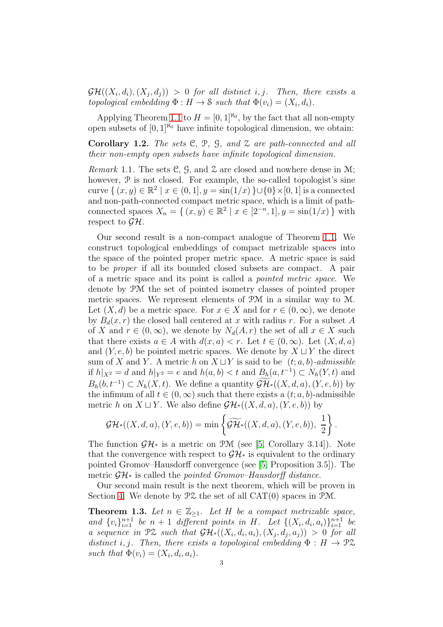$\mathcal{GH}((X_i, d_i), (X_j, d_j)) > 0$  for all distinct i, j. Then, there exists a topological embedding  $\Phi: H \to \mathcal{S}$  such that  $\Phi(v_i) = (X_i, d_i)$ .

Applying Theorem [1.1](#page-1-0) to  $H = [0, 1]^{N_0}$ , by the fact that all non-empty open subsets of  $[0, 1]^{\aleph_0}$  have infinite topological dimension, we obtain:

Corollary 1.2. The sets  $C, P, G, and Z$  are path-connected and all their non-empty open subsets have infinite topological dimension.

*Remark* 1.1. The sets C, G, and  $\mathcal Z$  are closed and nowhere dense in M; however,  $P$  is not closed. For example, the so-called topologist's sine curve {  $(x, y) \in \mathbb{R}^2 \mid x \in (0, 1], y = \sin(1/x) \cup \{0\} \times [0, 1]$  is a connected and non-path-connected compact metric space, which is a limit of pathconnected spaces  $X_n = \{ (x, y) \in \mathbb{R}^2 \mid x \in [2^{-n}, 1], y = \sin(1/x) \}$  with respect to  $\mathcal{GH}$ .

Our second result is a non-compact analogue of Theorem [1.1.](#page-1-0) We construct topological embeddings of compact metrizable spaces into the space of the pointed proper metric space. A metric space is said to be proper if all its bounded closed subsets are compact. A pair of a metric space and its point is called a pointed metric space. We denote by PM the set of pointed isometry classes of pointed proper metric spaces. We represent elements of PM in a similar way to M. Let  $(X, d)$  be a metric space. For  $x \in X$  and for  $r \in (0, \infty)$ , we denote by  $B_d(x, r)$  the closed ball centered at x with radius r. For a subset A of X and  $r \in (0,\infty)$ , we denote by  $N_d(A,r)$  the set of all  $x \in X$  such that there exists  $a \in A$  with  $d(x, a) < r$ . Let  $t \in (0, \infty)$ . Let  $(X, d, a)$ and  $(Y, e, b)$  be pointed metric spaces. We denote by  $X \sqcup Y$  the direct sum of X and Y. A metric h on  $X \sqcup Y$  is said to be  $(t; a, b)$ -admissible if  $h|_{X^2} = d$  and  $h|_{Y^2} = e$  and  $h(a, b) < t$  and  $B_h(a, t^{-1}) \subset N_h(Y, t)$  and  $B_h(b, t^{-1}) \subset N_h(X, t)$ . We define a quantity  $\mathcal{GH}^*((X, d, a), (Y, e, b))$  by the infimum of all  $t \in (0, \infty)$  such that there exists a  $(t; a, b)$ -admissible metric h on  $X \sqcup Y$ . We also define  $\mathcal{GH}^*((X,d,a),(Y,e,b))$  by

$$
\mathcal{GH}^*((X,d,a),(Y,e,b)) = \min\left\{\widetilde{\mathcal{GH}}^*((X,d,a),(Y,e,b)),\ \frac{1}{2}\right\}.
$$

The function  $\mathcal{GH}^*$  is a metric on PM (see [\[5,](#page-11-6) Corollary 3.14]). Note that the convergence with respect to  $\mathcal{GH}_{*}$  is equivalent to the ordinary pointed Gromov–Hausdorff convergence (see [\[5,](#page-11-6) Proposition 3.5]). The metric  $\mathcal{GH}^*$  is called the *pointed Gromov–Hausdorff distance*.

Our second main result is the next theorem, which will be proven in Section [4.](#page-8-0) We denote by  $\mathcal{PZ}$  the set of all  $CAT(0)$  spaces in  $\mathcal{PM}$ .

<span id="page-2-0"></span>**Theorem 1.3.** Let  $n \in \mathbb{Z}_{\geq 1}$ . Let H be a compact metrizable space, and  $\{v_i\}_{i=1}^{n+1}$  be  $n+1$  different points in H. Let  $\{(X_i,d_i,a_i)\}_{i=1}^{n+1}$  be a sequence in  $\mathfrak{P} \mathfrak{X}$  such that  $\mathcal{GH}^*((X_i,d_i,a_i),(X_j,d_j,a_j)) > 0$  for all distinct i, j. Then, there exists a topological embedding  $\Phi : H \to \mathcal{P} \mathcal{Z}$ such that  $\Phi(v_i) = (X_i, d_i, a_i)$ .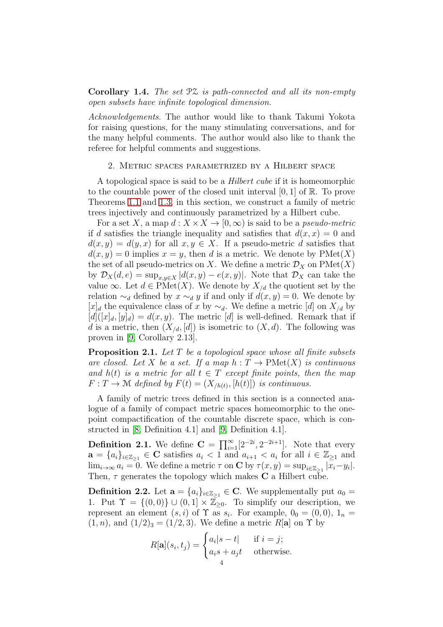**Corollary 1.4.** The set  $\mathcal{PZ}$  is path-connected and all its non-empty open subsets have infinite topological dimension.

Acknowledgements. The author would like to thank Takumi Yokota for raising questions, for the many stimulating conversations, and for the many helpful comments. The author would also like to thank the referee for helpful comments and suggestions.

# 2. Metric spaces parametrized by a Hilbert space

A topological space is said to be a Hilbert cube if it is homeomorphic to the countable power of the closed unit interval  $[0, 1]$  of  $\mathbb{R}$ . To prove Theorems [1.1](#page-1-0) and [1.3,](#page-2-0) in this section, we construct a family of metric trees injectively and continuously parametrized by a Hilbert cube.

For a set X, a map  $d: X \times X \to [0, \infty)$  is said to be a *pseudo-metric* if d satisfies the triangle inequality and satisfies that  $d(x, x) = 0$  and  $d(x, y) = d(y, x)$  for all  $x, y \in X$ . If a pseudo-metric d satisfies that  $d(x, y) = 0$  implies  $x = y$ , then d is a metric. We denote by  $\text{PMet}(X)$ the set of all pseudo-metrics on X. We define a metric  $\mathcal{D}_X$  on  $\mathrm{PMet}(X)$ by  $\mathcal{D}_X(d, e) = \sup_{x,y \in X} |d(x,y) - e(x,y)|$ . Note that  $\mathcal{D}_X$  can take the value ∞. Let  $d \in \text{PMet}(X)$ . We denote by  $X_{/d}$  the quotient set by the relation  $\sim_d$  defined by  $x \sim_d y$  if and only if  $d(x, y) = 0$ . We denote by [x]<sub>d</sub> the equivalence class of x by  $\sim_d$ . We define a metric [d] on  $X_{/d}$  by  $[d]([x]_d, [y]_d) = d(x, y)$ . The metric [d] is well-defined. Remark that if d is a metric, then  $(X_{d}, [d])$  is isometric to  $(X, d)$ . The following was proven in [\[9,](#page-11-1) Corollary 2.13].

<span id="page-3-0"></span>**Proposition 2.1.** Let  $T$  be a topological space whose all finite subsets are closed. Let X be a set. If a map  $h: T \to \mathrm{PMet}(X)$  is continuous and  $h(t)$  is a metric for all  $t \in T$  except finite points, then the map  $F: T \to \mathcal{M}$  defined by  $F(t) = (X_{/h(t)}, [h(t)])$  is continuous.

A family of metric trees defined in this section is a connected analogue of a family of compact metric spaces homeomorphic to the onepoint compactification of the countable discrete space, which is constructed in [\[8,](#page-11-0) Definition 4.1] and [\[9,](#page-11-1) Definition 4.1].

**Definition 2.1.** We define  $\mathbf{C} = \prod_{i=1}^{\infty} [2^{-2i}, 2^{-2i+1}]$ . Note that every  $\mathbf{a} = \{a_i\}_{i \in \mathbb{Z}_{\geq 1}} \in \mathbf{C}$  satisfies  $a_i < 1$  and  $a_{i+1} < a_i$  for all  $i \in \mathbb{Z}_{\geq 1}$  and  $\lim_{i\to\infty} a_i = 0$ . We define a metric  $\tau$  on **C** by  $\tau(x, y) = \sup_{i\in\mathbb{Z}_{\geq 1}} |x_i - y_i|$ . Then,  $\tau$  generates the topology which makes C a Hilbert cube.

**Definition 2.2.** Let  $\mathbf{a} = \{a_i\}_{i \in \mathbb{Z}_{\geq 1}} \in \mathbf{C}$ . We supplementally put  $a_0 =$ 1. Put  $\Upsilon = \{(0,0)\} \cup (0,1] \times \mathbb{Z}_{\geq 0}$ . To simplify our description, we represent an element  $(s, i)$  of  $\Upsilon$  as  $s_i$ . For example,  $0_0 = (0, 0)$ ,  $1_n =$  $(1, n)$ , and  $(1/2)_3 = (1/2, 3)$ . We define a metric R[a] on  $\Upsilon$  by

$$
R[\mathbf{a}](s_i, t_j) = \begin{cases} a_i|s-t| & \text{if } i = j; \\ a_i s + a_j t & \text{otherwise.} \end{cases}
$$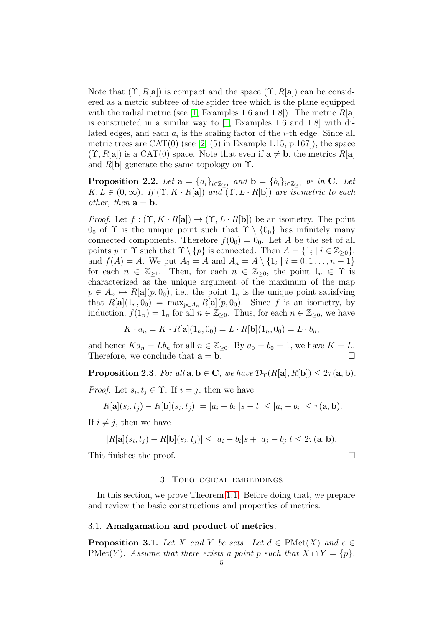Note that  $(\Upsilon, R[\mathbf{a}])$  is compact and the space  $(\Upsilon, R[\mathbf{a}])$  can be considered as a metric subtree of the spider tree which is the plane equipped with the radial metric (see [\[1,](#page-10-2) Examples 1.6 and 1.8]). The metric  $R[\mathbf{a}]$ is constructed in a similar way to [\[1,](#page-10-2) Examples 1.6 and 1.8] with dilated edges, and each  $a_i$  is the scaling factor of the *i*-th edge. Since all metric trees are CAT $(0)$  (see [\[2,](#page-10-1)  $(5)$  in Example 1.15, p.167]), the space  $(\Upsilon, R[\mathbf{a}])$  is a CAT(0) space. Note that even if  $\mathbf{a} \neq \mathbf{b}$ , the metrics  $R[\mathbf{a}]$ and  $R[\mathbf{b}]$  generate the same topology on  $\Upsilon$ .

<span id="page-4-3"></span>**Proposition 2.2.** Let  $\mathbf{a} = \{a_i\}_{i \in \mathbb{Z}_{\geq 1}}$  and  $\mathbf{b} = \{b_i\}_{i \in \mathbb{Z}_{\geq 1}}$  be in C. Let  $K, L \in (0, \infty)$ . If  $(\Upsilon, K \cdot R[\mathbf{a}])$  and  $(\Upsilon, L \cdot R[\mathbf{b}])$  are isometric to each other, then  $\mathbf{a} = \mathbf{b}$ .

*Proof.* Let  $f : (\Upsilon, K \cdot R[\mathbf{a}]) \to (\Upsilon, L \cdot R[\mathbf{b}])$  be an isometry. The point  $0_0$  of  $\Upsilon$  is the unique point such that  $\Upsilon \setminus \{0_0\}$  has infinitely many connected components. Therefore  $f(0_0) = 0_0$ . Let A be the set of all points p in  $\Upsilon$  such that  $\Upsilon \setminus \{p\}$  is connected. Then  $A = \{1_i \mid i \in \mathbb{Z}_{\geq 0}\},\$ and  $f(A) = A$ . We put  $A_0 = A$  and  $A_n = A \setminus \{1_i | i = 0, 1, ..., n-1\}$ for each  $n \in \mathbb{Z}_{\geq 1}$ . Then, for each  $n \in \mathbb{Z}_{\geq 0}$ , the point  $1_n \in \Upsilon$  is characterized as the unique argument of the maximum of the map  $p \in A_n \mapsto R[\mathbf{a}](p, 0_0)$ , i.e., the point  $1_n$  is the unique point satisfying that  $R[\mathbf{a}](1_n, 0_0) = \max_{p \in A_n} R[\mathbf{a}](p, 0_0)$ . Since f is an isometry, by induction,  $f(1_n) = 1_n$  for all  $n \in \mathbb{Z}_{\geq 0}$ . Thus, for each  $n \in \mathbb{Z}_{\geq 0}$ , we have

$$
K \cdot a_n = K \cdot R[\mathbf{a}](1_n, 0_0) = L \cdot R[\mathbf{b}](1_n, 0_0) = L \cdot b_n,
$$

and hence  $Ka_n = Lb_n$  for all  $n \in \mathbb{Z}_{\geq 0}$ . By  $a_0 = b_0 = 1$ , we have  $K = L$ .<br>Therefore we conclude that  $\mathbf{a} = \mathbf{b}$ Therefore, we conclude that  $\mathbf{a} = \mathbf{b}$ .

<span id="page-4-2"></span>**Proposition 2.3.** For all  $a, b \in C$ , we have  $\mathcal{D}_{\Upsilon}(R[a], R[b]) \leq 2\tau(a, b)$ .

*Proof.* Let  $s_i, t_j \in \Upsilon$ . If  $i = j$ , then we have

$$
|R[\mathbf{a}](s_i, t_j) - R[\mathbf{b}](s_i, t_j)| = |a_i - b_i||s - t| \le |a_i - b_i| \le \tau(\mathbf{a}, \mathbf{b}).
$$

If  $i \neq j$ , then we have

$$
|R[\mathbf{a}](s_i, t_j) - R[\mathbf{b}](s_i, t_j)| \leq |a_i - b_i|s + |a_j - b_j|t \leq 2\tau(\mathbf{a}, \mathbf{b}).
$$

<span id="page-4-0"></span>This finishes the proof.

$$
\qquad \qquad \Box
$$

### 3. Topological embeddings

In this section, we prove Theorem [1.1.](#page-1-0) Before doing that, we prepare and review the basic constructions and properties of metrics.

# 3.1. Amalgamation and product of metrics.

<span id="page-4-1"></span>**Proposition 3.1.** Let X and Y be sets. Let  $d \in \text{PMet}(X)$  and  $e \in$ PMet(Y). Assume that there exists a point p such that  $X \cap Y = \{p\}.$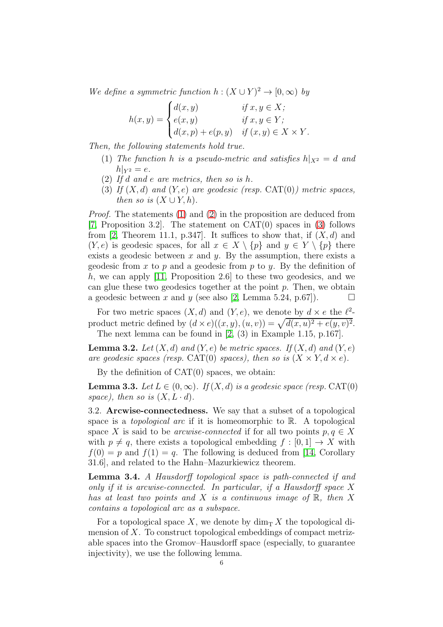We define a symmetric function  $h : (X \cup Y)^2 \to [0, \infty)$  by

$$
h(x,y) = \begin{cases} d(x,y) & \text{if } x, y \in X; \\ e(x,y) & \text{if } x, y \in Y; \\ d(x,p) + e(p,y) & \text{if } (x,y) \in X \times Y. \end{cases}
$$

<span id="page-5-0"></span>Then, the following statements hold true.

- <span id="page-5-1"></span>(1) The function h is a pseudo-metric and satisfies  $h|_{X^2} = d$  and  $h|_{Y^2} = e.$
- <span id="page-5-2"></span>(2) If d and e are metrics, then so is h.
- (3) If  $(X, d)$  and  $(Y, e)$  are geodesic (resp. CAT(0)) metric spaces, then so is  $(X \cup Y, h)$ .

*Proof.* The statements [\(1\)](#page-5-0) and [\(2\)](#page-5-1) in the proposition are deduced from [\[7,](#page-11-7) Proposition 3.2]. The statement on  $CAT(0)$  spaces in [\(3\)](#page-5-2) follows from [\[2,](#page-10-1) Theorem 11.1, p.347]. It suffices to show that, if  $(X, d)$  and  $(Y, e)$  is geodesic spaces, for all  $x \in X \setminus \{p\}$  and  $y \in Y \setminus \{p\}$  there exists a geodesic between  $x$  and  $y$ . By the assumption, there exists a geodesic from  $x$  to  $p$  and a geodesic from  $p$  to  $y$ . By the definition of h, we can apply [\[11,](#page-11-8) Proposition 2.6] to these two geodesics, and we can glue these two geodesics together at the point  $p$ . Then, we obtain a geodesic between x and y (see also [\[2,](#page-10-1) Lemma 5.24, p.67]).  $\Box$ 

For two metric spaces  $(X, d)$  and  $(Y, e)$ , we denote by  $d \times e$  the  $\ell^2$ product metric defined by  $(d \times e)((x, y), (u, v)) = \sqrt{d(x, u)^2 + e(y, v)^2}$ . The next lemma can be found in [\[2,](#page-10-1) (3) in Example 1.15, p.167].

<span id="page-5-4"></span>**Lemma 3.2.** Let  $(X, d)$  and  $(Y, e)$  be metric spaces. If  $(X, d)$  and  $(Y, e)$ are geodesic spaces (resp. CAT(0) spaces), then so is  $(X \times Y, d \times e)$ .

By the definition of  $CAT(0)$  spaces, we obtain:

<span id="page-5-5"></span>**Lemma 3.3.** Let  $L \in (0, \infty)$ . If  $(X, d)$  is a geodesic space (resp. CAT(0) space), then so is  $(X, L \cdot d)$ .

3.2. Arcwise-connectedness. We say that a subset of a topological space is a *topological arc* if it is homeomorphic to  $\mathbb{R}$ . A topological space X is said to be *arcwise-connected* if for all two points  $p, q \in X$ with  $p \neq q$ , there exists a topological embedding  $f : [0, 1] \rightarrow X$  with  $f(0) = p$  and  $f(1) = q$ . The following is deduced from [\[14,](#page-11-9) Corollary 31.6], and related to the Hahn–Mazurkiewicz theorem.

<span id="page-5-3"></span>Lemma 3.4. A Hausdorff topological space is path-connected if and only if it is arcwise-connected. In particular, if a Hausdorff space X has at least two points and X is a continuous image of  $\mathbb{R}$ , then X contains a topological arc as a subspace.

For a topological space X, we denote by  $\dim_{\mathbb{T}} X$  the topological dimension of X. To construct topological embeddings of compact metrizable spaces into the Gromov–Hausdorff space (especially, to guarantee injectivity), we use the following lemma.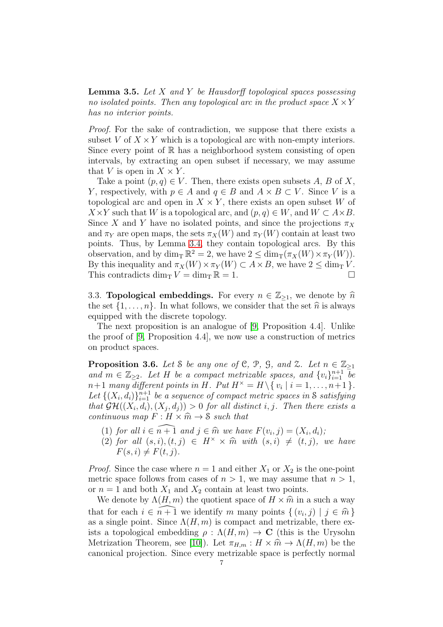<span id="page-6-0"></span>**Lemma 3.5.** Let  $X$  and  $Y$  be Hausdorff topological spaces possessing no isolated points. Then any topological arc in the product space  $X \times Y$ has no interior points.

Proof. For the sake of contradiction, we suppose that there exists a subset V of  $X \times Y$  which is a topological arc with non-empty interiors. Since every point of  $\mathbb R$  has a neighborhood system consisting of open intervals, by extracting an open subset if necessary, we may assume that V is open in  $X \times Y$ .

Take a point  $(p, q) \in V$ . Then, there exists open subsets A, B of X, Y, respectively, with  $p \in A$  and  $q \in B$  and  $A \times B \subset V$ . Since V is a topological arc and open in  $X \times Y$ , there exists an open subset W of  $X\times Y$  such that W is a topological arc, and  $(p, q) \in W$ , and  $W \subset A \times B$ . Since X and Y have no isolated points, and since the projections  $\pi_X$ and  $\pi_Y$  are open maps, the sets  $\pi_X(W)$  and  $\pi_Y(W)$  contain at least two points. Thus, by Lemma [3.4,](#page-5-3) they contain topological arcs. By this observation, and by  $\dim_{\mathcal{T}} \mathbb{R}^2 = 2$ , we have  $2 \leq \dim_{\mathcal{T}} (\pi_X(W) \times \pi_Y(W))$ . By this inequality and  $\pi_X(W) \times \pi_Y(W) \subset A \times B$ , we have  $2 \le \dim_{\mathbb{T}} V$ .<br>This contradicts  $\dim_{\mathbb{T}} V = \dim_{\mathbb{T}} \mathbb{R} = 1$ . This contradicts dim<sub>T</sub>  $V = \dim_{\text{T}} \mathbb{R} = 1$ .

3.3. **Topological embeddings.** For every  $n \in \mathbb{Z}_{\geq 1}$ , we denote by  $\hat{n}$ the set  $\{1, \ldots, n\}$ . In what follows, we consider that the set  $\hat{n}$  is always equipped with the discrete topology.

The next proposition is an analogue of [\[9,](#page-11-1) Proposition 4.4]. Unlike the proof of [\[9,](#page-11-1) Proposition 4.4], we now use a construction of metrics on product spaces.

<span id="page-6-1"></span>**Proposition 3.6.** Let S be any one of C, P, G, and Z. Let  $n \in \mathbb{Z}_{\geq 1}$ and  $m \in \mathbb{Z}_{\geq 2}$ . Let H be a compact metrizable spaces, and  $\{v_i\}_{i=1}^{n+1}$  be  $n+1$  many different points in H. Put  $H^{\times} = H \setminus \{v_i \mid i = 1, \ldots, n+1\}.$ Let  $\{(X_i, d_i)\}_{i=1}^{n+1}$  be a sequence of compact metric spaces in S satisfying that  $\mathcal{GH}((X_i,d_i), (X_j,d_j)) > 0$  for all distinct i, j. Then there exists a continuous map  $F: H \times \hat{m} \to \mathcal{S}$  such that

- (1) for all  $i \in \widehat{n+1}$  and  $j \in \widehat{m}$  we have  $F(v_i, j) = (X_i, d_i);$ <br>(2) for all  $(s_i)$   $(t, i) \in H^{\times} \times \widehat{m}$  with  $(s_i) \neq (t, i)$
- (2) for all  $(s, i), (t, j) \in H^{\times} \times \hat{m}$  with  $(s, i) \neq (t, j)$ , we have  $F(s, i) \neq F(t, j).$

*Proof.* Since the case where  $n = 1$  and either  $X_1$  or  $X_2$  is the one-point metric space follows from cases of  $n > 1$ , we may assume that  $n > 1$ , or  $n = 1$  and both  $X_1$  and  $X_2$  contain at least two points.

We denote by  $\Lambda(H,m)$  the quotient space of  $H \times \hat{m}$  in a such a way that for each  $i \in \widehat{n+1}$  we identify m many points  $\{(v_i, j) | j \in \widehat{m}\}\$ as a single point. Since  $\Lambda(H,m)$  is compact and metrizable, there exists a topological embedding  $\rho : \Lambda(H,m) \to \mathbf{C}$  (this is the Urysohn Metrization Theorem, see [\[10\]](#page-11-10)). Let  $\pi_{H,m}: H \times \hat{m} \to \Lambda(H,m)$  be the canonical projection. Since every metrizable space is perfectly normal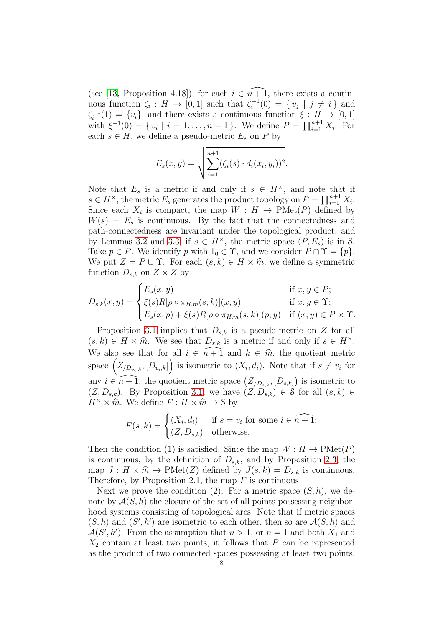(see [\[13,](#page-11-3) Proposition 4.18]), for each  $i \in \widehat{n+1}$ , there exists a continuous function  $\zeta_i : H \to [0,1]$  such that  $\zeta_i^{-1}$  $i^{-1}(0) = \{ v_j \mid j \neq i \}$  and  $\zeta_i^{-1}$  $i^{-1}(1) = \{v_i\}$ , and there exists a continuous function  $\xi : H \to [0, 1]$ with  $\xi^{-1}(0) = \{v_i \mid i = 1, \ldots, n+1\}$ . We define  $P = \prod_{i=1}^{n+1} X_i$ . For each  $s \in H$ , we define a pseudo-metric  $E_s$  on P by

$$
E_s(x,y) = \sqrt{\sum_{i=1}^{n+1} (\zeta_i(s) \cdot d_i(x_i, y_i))^2}.
$$

Note that  $E_s$  is a metric if and only if  $s \in H^{\times}$ , and note that if  $s \in H^{\times}$ , the metric  $E_s$  generates the product topology on  $P = \prod_{i=1}^{n+1} X_i$ . Since each  $X_i$  is compact, the map  $W : H \to \mathrm{PMet}(P)$  defined by  $W(s) = E_s$  is continuous. By the fact that the connectedness and path-connectedness are invariant under the topological product, and by Lemmas [3.2](#page-5-4) and [3.3,](#page-5-5) if  $s \in H^{\times}$ , the metric space  $(P, E_s)$  is in S. Take  $p \in P$ . We identify p with  $1_0 \in \Upsilon$ , and we consider  $P \cap \Upsilon = \{p\}$ . We put  $Z = P \cup \Upsilon$ . For each  $(s, k) \in H \times \hat{m}$ , we define a symmetric function  $D_{s,k}$  on  $Z \times Z$  by

$$
D_{s,k}(x,y) = \begin{cases} E_s(x,y) & \text{if } x, y \in P; \\ \xi(s)R[\rho \circ \pi_{H,m}(s,k)](x,y) & \text{if } x, y \in \Upsilon; \\ E_s(x,p) + \xi(s)R[\rho \circ \pi_{H,m}(s,k)](p,y) & \text{if } (x,y) \in P \times \Upsilon. \end{cases}
$$

Proposition [3.1](#page-4-1) implies that  $D_{s,k}$  is a pseudo-metric on Z for all  $(s, k) \in H \times \hat{m}$ . We see that  $D_{s,k}$  is a metric if and only if  $s \in H^{\times}$ . We also see that for all  $i \in \widehat{n+1}$  and  $k \in \widehat{m}$ , the quotient metric space  $(Z_{/D_{v_i,k}}, [D_{v_i,k}])$  is isometric to  $(X_i, d_i)$ . Note that if  $s \neq v_i$  for any  $i \in \widehat{n+1}$ , the quotient metric space  $(Z_{/D_{s,k}}, [D_{s,k}])$  is isometric to  $(Z, D_{s,k})$ . By Proposition [3.1,](#page-4-1) we have  $(Z, D_{s,k}) \in \mathcal{S}$  for all  $(s, k) \in$  $H^{\times} \times \hat{m}$ . We define  $F : H \times \hat{m} \to \mathcal{S}$  by

$$
F(s,k) = \begin{cases} (X_i, d_i) & \text{if } s = v_i \text{ for some } i \in \widehat{n+1}; \\ (Z, D_{s,k}) & \text{otherwise.} \end{cases}
$$

Then the condition (1) is satisfied. Since the map  $W : H \to \mathrm{PMet}(P)$ is continuous, by the definition of  $D_{s,k}$ , and by Proposition [2.3,](#page-4-2) the map  $J : H \times \hat{m} \to \mathrm{PMet}(Z)$  defined by  $J(s, k) = D_{s,k}$  is continuous. Therefore, by Proposition [2.1,](#page-3-0) the map  $F$  is continuous.

Next we prove the condition (2). For a metric space  $(S, h)$ , we denote by  $\mathcal{A}(S, h)$  the closure of the set of all points possessing neighborhood systems consisting of topological arcs. Note that if metric spaces  $(S, h)$  and  $(S', h')$  are isometric to each other, then so are  $\mathcal{A}(S, h)$  and  $\mathcal{A}(S',h')$ . From the assumption that  $n>1$ , or  $n=1$  and both  $X_1$  and  $X_2$  contain at least two points, it follows that P can be represented as the product of two connected spaces possessing at least two points.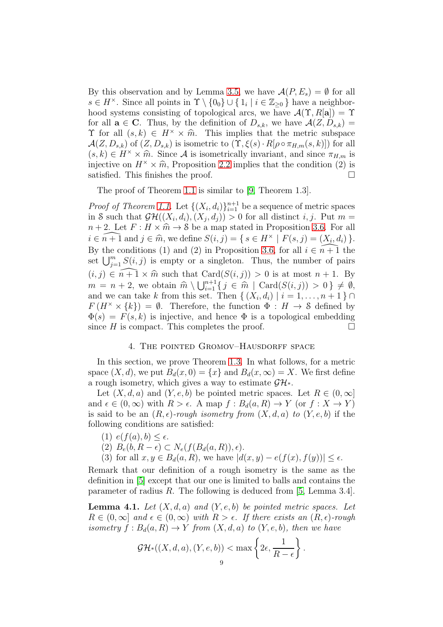By this observation and by Lemma [3.5,](#page-6-0) we have  $\mathcal{A}(P, E_s) = \emptyset$  for all  $s \in H^{\times}$ . Since all points in  $\Upsilon \setminus \{0_0\} \cup \{1_i \mid i \in \mathbb{Z}_{\geq 0}\}$  have a neighborhood systems consisting of topological arcs, we have  $\mathcal{A}(\Upsilon, R[\mathbf{a}]) = \Upsilon$ for all  $\mathbf{a} \in \mathbf{C}$ . Thus, by the definition of  $D_{s,k}$ , we have  $\mathcal{A}(Z, D_{s,k}) =$  $\Upsilon$  for all  $(s, k) \in H^{\times} \times \hat{m}$ . This implies that the metric subspace  $\mathcal{A}(Z, D_{s,k})$  of  $(Z, D_{s,k})$  is isometric to  $(\Upsilon, \xi(s) \cdot R[\rho \circ \pi_{H,m}(s,k)])$  for all  $(s, k) \in H^{\times} \times \hat{m}$ . Since A is isometrically invariant, and since  $\pi_{H,m}$  is injective on  $H^{\times} \times \hat{m}$ , Proposition [2.2](#page-4-3) implies that the condition (2) is satisfied. This finishes the proof satisfied. This finishes the proof.

The proof of Theorem [1.1](#page-1-0) is similar to [\[9,](#page-11-1) Theorem 1.3].

*Proof of Theorem [1.1.](#page-1-0)* Let  $\{(X_i, d_i)\}_{i=1}^{n+1}$  be a sequence of metric spaces in S such that  $\mathcal{GH}((X_i,d_i),(X_j,d_j)) > 0$  for all distinct  $i, j$ . Put  $m =$  $n + 2$ . Let  $F : H \times \hat{m} \to \mathcal{S}$  be a map stated in Proposition [3.6.](#page-6-1) For all  $i \in \widehat{n+1}$  and  $j \in \widehat{m}$ , we define  $S(i, j) = \{ s \in H^{\times} \mid F(s, j) = (X_i, d_i) \}.$ By the conditions (1) and (2) in Proposition [3.6,](#page-6-1) for all  $i \in \overline{n+1}$  the set  $\bigcup_{j=1}^m S(i,j)$  is empty or a singleton. Thus, the number of pairs  $(i, j) \in \widehat{n+1} \times \widehat{m}$  such that  $Card(S(i, j)) > 0$  is at most  $n+1$ . By  $m = n + 2$ , we obtain  $\widehat{m} \setminus \bigcup_{i=1}^{n+1} \{ j \in \widehat{m} \mid \text{Card}(S(i,j)) > 0 \} \neq \emptyset$ and we can take k from this set. Then  $\{(X_i, d_i) \mid i = 1, \ldots, n+1\} \cap$  $F(H^{\times} \times \{k\}) = \emptyset$ . Therefore, the function  $\Phi : H \to \mathcal{S}$  defined by  $\Phi(s) = F(s, k)$  is injective, and hence  $\Phi$  is a topological embedding since H is compact. This completes the proof.  $\Box$ 

#### 4. The pointed Gromov–Hausdorff space

<span id="page-8-0"></span>In this section, we prove Theorem [1.3.](#page-2-0) In what follows, for a metric space  $(X, d)$ , we put  $B_d(x, 0) = \{x\}$  and  $B_d(x, \infty) = X$ . We first define a rough isometry, which gives a way to estimate  $\mathcal{GH}^*$ .

Let  $(X, d, a)$  and  $(Y, e, b)$  be pointed metric spaces. Let  $R \in (0, \infty]$ and  $\epsilon \in (0,\infty)$  with  $R > \epsilon$ . A map  $f : B_d(a,R) \to Y$  (or  $f : X \to Y$ ) is said to be an  $(R, \epsilon)$ -rough isometry from  $(X, d, a)$  to  $(Y, e, b)$  if the following conditions are satisfied:

- (1)  $e(f(a), b) \leq \epsilon$ .
- (2)  $B_e(b, R \epsilon) \subset N_e(f(B_d(a, R)), \epsilon).$
- (3) for all  $x, y \in B_d(a, R)$ , we have  $|d(x, y) e(f(x), f(y))| \leq \epsilon$ .

Remark that our definition of a rough isometry is the same as the definition in [\[5\]](#page-11-6) except that our one is limited to balls and contains the parameter of radius R. The following is deduced from  $[5, \text{Lemma } 3.4]$ .

<span id="page-8-1"></span>**Lemma 4.1.** Let  $(X, d, a)$  and  $(Y, e, b)$  be pointed metric spaces. Let  $R \in (0, \infty]$  and  $\epsilon \in (0, \infty)$  with  $R > \epsilon$ . If there exists an  $(R, \epsilon)$ -rough isometry  $f : B_d(a, R) \to Y$  from  $(X, d, a)$  to  $(Y, e, b)$ , then we have

$$
\mathcal{GH}^*((X,d,a),(Y,e,b)) < \max\left\{2\epsilon,\frac{1}{R-\epsilon}\right\}.
$$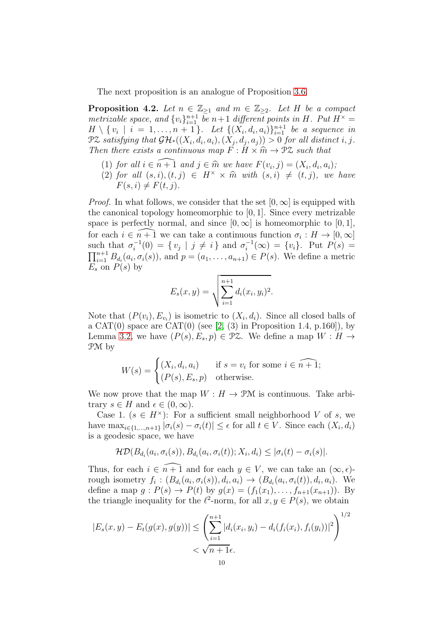The next proposition is an analogue of Proposition [3.6.](#page-6-1)

<span id="page-9-0"></span>**Proposition 4.2.** Let  $n \in \mathbb{Z}_{\geq 1}$  and  $m \in \mathbb{Z}_{\geq 2}$ . Let H be a compact metrizable space, and  $\{v_i\}_{i=1}^{n+1}$  be  $n+1$  different points in H. Put  $H^{\times}$  =  $H \setminus \{v_i \mid i = 1, \ldots, n+1\}$ . Let  $\{(X_i, d_i, a_i)\}_{i=1}^{n+1}$  be a sequence in  $\mathcal{PZ}$  satisfying that  $\mathcal{GH}^*((X_i, d_i, a_i), (X_j, d_j, a_j)) > 0$  for all distinct i, j. Then there exists a continuous map  $F: H \times \hat{m} \to \mathcal{P} \mathcal{Z}$  such that

- (1) for all  $i \in \widehat{n+1}$  and  $j \in \widehat{m}$  we have  $F(v_i, j) = (X_i, d_i, a_i);$ <br>(2) for all  $(s, j)$   $(t, j) \in H^{\times} \times \widehat{m}$  with  $(s, j) \neq (t, j)$  and
- (2) for all  $(s, i), (t, j) \in H^{\times} \times \hat{m}$  with  $(s, i) \neq (t, j)$ , we have  $F(s, i) \neq F(t, j).$

*Proof.* In what follows, we consider that the set  $[0, \infty]$  is equipped with the canonical topology homeomorphic to [0, 1]. Since every metrizable space is perfectly normal, and since  $[0, \infty]$  is homeomorphic to  $[0, 1]$ , for each  $i \in \widehat{n+1}$  we can take a continuous function  $\sigma_i : H \to [0, \infty]$ such that  $\sigma_i^{-1}$  $i^{-1}(0) = \{ v_j \mid j \neq i \}$  and  $\sigma_i^{-1}$  $i^{-1}(\infty) = \{v_i\}.$  Put  $P(s) =$  $\prod_{i=1}^{n+1} B_{d_i}(a_i, \sigma_i(s))$ , and  $p = (a_1, \ldots, a_{n+1}) \in P(s)$ . We define a metric  $E_s$  on  $P(s)$  by

$$
E_s(x, y) = \sqrt{\sum_{i=1}^{n+1} d_i(x_i, y_i)^2}.
$$

Note that  $(P(v_i), E_{v_i})$  is isometric to  $(X_i, d_i)$ . Since all closed balls of a CAT $(0)$  space are CAT $(0)$  (see [\[2,](#page-10-1) (3) in Proposition 1.4, p.160]), by Lemma [3.2,](#page-5-4) we have  $(P(s), E_s, p) \in \mathcal{P}Z$ . We define a map  $W : H \to$ PM by

$$
W(s) = \begin{cases} (X_i, d_i, a_i) & \text{if } s = v_i \text{ for some } i \in \widehat{n+1}; \\ (P(s), E_s, p) & \text{otherwise.} \end{cases}
$$

We now prove that the map  $W : H \to \mathcal{P}M$  is continuous. Take arbitrary  $s \in H$  and  $\epsilon \in (0, \infty)$ .

Case 1. ( $s \in H^{\times}$ ): For a sufficient small neighborhood V of s, we have  $\max_{i \in \{1,\dots,n+1\}} |\sigma_i(s) - \sigma_i(t)| \leq \epsilon$  for all  $t \in V$ . Since each  $(X_i, d_i)$ is a geodesic space, we have

$$
\mathcal{HD}(B_{d_i}(a_i,\sigma_i(s)),B_{d_i}(a_i,\sigma_i(t));X_i,d_i)\leq |\sigma_i(t)-\sigma_i(s)|.
$$

Thus, for each  $i \in \widehat{n+1}$  and for each  $y \in V$ , we can take an  $(\infty, \epsilon)$ rough isometry  $f_i$ :  $(B_{d_i}(a_i, \sigma_i(s)), d_i, a_i) \rightarrow (B_{d_i}(a_i, \sigma_i(t)), d_i, a_i)$ . We define a map  $g: P(s) \to P(t)$  by  $g(x) = (f_1(x_1), \ldots, f_{n+1}(x_{n+1}))$ . By the triangle inequality for the  $\ell^2$ -norm, for all  $x, y \in P(s)$ , we obtain

$$
|E_s(x, y) - E_t(g(x), g(y))| \le \left(\sum_{i=1}^{n+1} |d_i(x_i, y_i) - d_i(f_i(x_i), f_i(y_i))|^2\right)^{1/2}
$$
  
<  $\sqrt{n+1}\epsilon$ .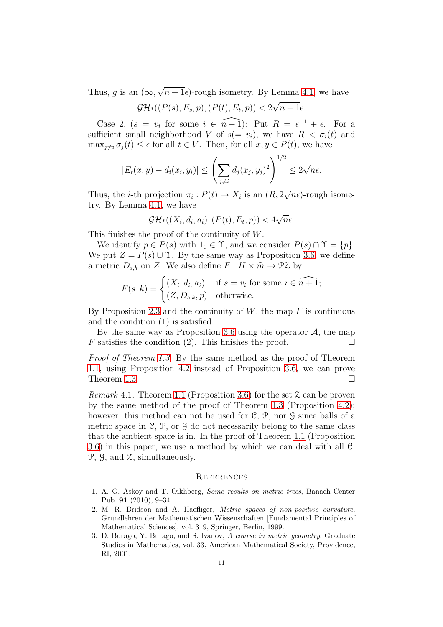Thus, g is an  $(\infty, \sqrt{n+1}\epsilon)$ -rough isometry. By Lemma [4.1,](#page-8-1) we have

$$
\mathcal{GH}^*((P(s), E_s, p), (P(t), E_t, p)) < 2\sqrt{n+1}\epsilon.
$$

Case 2.  $(s = v_i \text{ for some } i \in \widehat{n+1})$ : Put  $R = \epsilon^{-1} + \epsilon$ . For a sufficient small neighborhood V of  $s(= v_i)$ , we have  $R < \sigma_i(t)$  and  $\max_{i \neq i} \sigma_i(t) \leq \epsilon$  for all  $t \in V$ . Then, for all  $x, y \in P(t)$ , we have

$$
|E_t(x,y)-d_i(x_i,y_i)| \leq \left(\sum_{j\neq i} d_j(x_j,y_j)^2\right)^{1/2} \leq 2\sqrt{n}\epsilon.
$$

Thus, the *i*-th projection  $\pi_i : P(t) \to X_i$  is an  $(R, 2\sqrt{n}\epsilon)$ -rough isometry. By Lemma [4.1,](#page-8-1) we have

$$
\mathcal{GH}^*((X_i,d_i,a_i),(P(t),E_t,p))< 4\sqrt{n}\epsilon.
$$

This finishes the proof of the continuity of W.

We identify  $p \in P(s)$  with  $1_0 \in \Upsilon$ , and we consider  $P(s) \cap \Upsilon = \{p\}.$ We put  $Z = P(s) \cup \Upsilon$ . By the same way as Proposition [3.6,](#page-6-1) we define a metric  $D_{s,k}$  on Z. We also define  $F: H \times \hat{m} \to \mathcal{P} \mathcal{Z}$  by

$$
F(s,k) = \begin{cases} (X_i, d_i, a_i) & \text{if } s = v_i \text{ for some } i \in \widehat{n+1}; \\ (Z, D_{s,k}, p) & \text{otherwise.} \end{cases}
$$

By Proposition [2.3](#page-4-2) and the continuity of  $W$ , the map  $F$  is continuous and the condition (1) is satisfied.

By the same way as Proposition [3.6](#page-6-1) using the operator  $\mathcal{A}$ , the map satisfies the condition (2). This finishes the proof  $F$  satisfies the condition  $(2)$ . This finishes the proof.

Proof of Theorem [1.3.](#page-2-0) By the same method as the proof of Theorem [1.1,](#page-1-0) using Proposition [4.2](#page-9-0) instead of Proposition [3.6,](#page-6-1) we can prove Theorem [1.3.](#page-2-0)  $\Box$ 

*Remark* 4.1. Theorem [1.1](#page-1-0) (Proposition [3.6\)](#page-6-1) for the set  $\mathfrak{Z}$  can be proven by the same method of the proof of Theorem [1.3](#page-2-0) (Proposition [4.2\)](#page-9-0); however, this method can not be used for C, P, nor G since balls of a metric space in  $\mathcal{C}, \mathcal{P}, \text{or } \mathcal{G}$  do not necessarily belong to the same class that the ambient space is in. In the proof of Theorem [1.1](#page-1-0) (Proposition [3.6\)](#page-6-1) in this paper, we use a method by which we can deal with all C, P, G, and Z, simultaneously.

### **REFERENCES**

- <span id="page-10-2"></span>1. A. G. Askoy and T. Oikhberg, Some results on metric trees, Banach Center Pub. 91 (2010), 9–34.
- <span id="page-10-1"></span>2. M. R. Bridson and A. Haefliger, Metric spaces of non-positive curvature, Grundlehren der Mathematischen Wissenschaften [Fundamental Principles of Mathematical Sciences], vol. 319, Springer, Berlin, 1999.
- <span id="page-10-0"></span>3. D. Burago, Y. Burago, and S. Ivanov, A course in metric geometry, Graduate Studies in Mathematics, vol. 33, American Mathematical Society, Providence, RI, 2001.